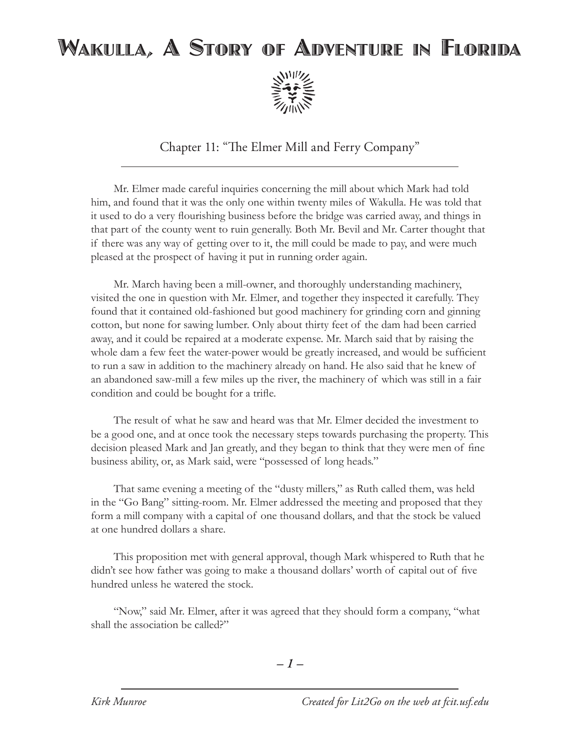## Wakulla, A Story of Adventure in Florida



Chapter 11: "The Elmer Mill and Ferry Company"

Mr. Elmer made careful inquiries concerning the mill about which Mark had told him, and found that it was the only one within twenty miles of Wakulla. He was told that it used to do a very flourishing business before the bridge was carried away, and things in that part of the county went to ruin generally. Both Mr. Bevil and Mr. Carter thought that if there was any way of getting over to it, the mill could be made to pay, and were much pleased at the prospect of having it put in running order again.

Mr. March having been a mill-owner, and thoroughly understanding machinery, visited the one in question with Mr. Elmer, and together they inspected it carefully. They found that it contained old-fashioned but good machinery for grinding corn and ginning cotton, but none for sawing lumber. Only about thirty feet of the dam had been carried away, and it could be repaired at a moderate expense. Mr. March said that by raising the whole dam a few feet the water-power would be greatly increased, and would be sufficient to run a saw in addition to the machinery already on hand. He also said that he knew of an abandoned saw-mill a few miles up the river, the machinery of which was still in a fair condition and could be bought for a trifle.

The result of what he saw and heard was that Mr. Elmer decided the investment to be a good one, and at once took the necessary steps towards purchasing the property. This decision pleased Mark and Jan greatly, and they began to think that they were men of fine business ability, or, as Mark said, were "possessed of long heads."

That same evening a meeting of the "dusty millers," as Ruth called them, was held in the "Go Bang" sitting-room. Mr. Elmer addressed the meeting and proposed that they form a mill company with a capital of one thousand dollars, and that the stock be valued at one hundred dollars a share.

This proposition met with general approval, though Mark whispered to Ruth that he didn't see how father was going to make a thousand dollars' worth of capital out of five hundred unless he watered the stock.

"Now," said Mr. Elmer, after it was agreed that they should form a company, "what shall the association be called?"

*– –*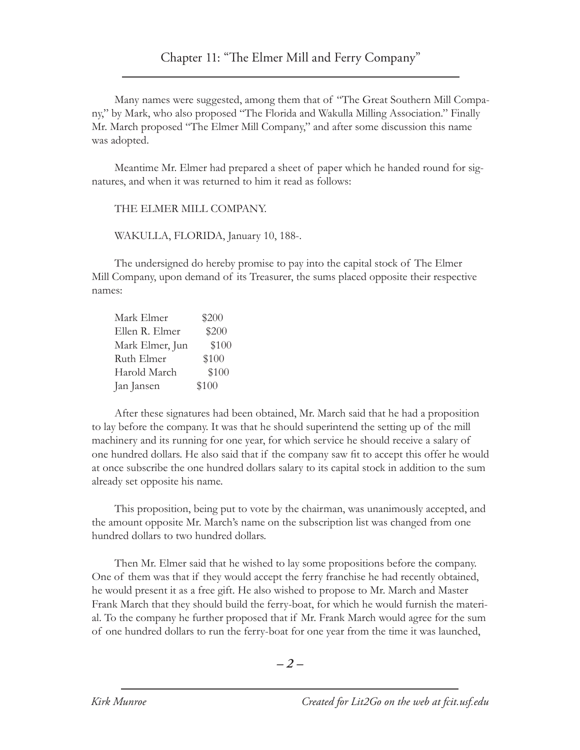## Chapter 11: "The Elmer Mill and Ferry Company"

Many names were suggested, among them that of "The Great Southern Mill Company," by Mark, who also proposed "The Florida and Wakulla Milling Association." Finally Mr. March proposed "The Elmer Mill Company," and after some discussion this name was adopted.

Meantime Mr. Elmer had prepared a sheet of paper which he handed round for signatures, and when it was returned to him it read as follows:

THE ELMER MILL COMPANY.

WAKULLA, FLORIDA, January 10, 188-.

The undersigned do hereby promise to pay into the capital stock of The Elmer Mill Company, upon demand of its Treasurer, the sums placed opposite their respective names:

| Mark Elmer      | \$200 |
|-----------------|-------|
| Ellen R. Elmer  | \$200 |
| Mark Elmer, Jun | \$100 |
| Ruth Elmer      | \$100 |
| Harold March    | \$100 |
| Jan Jansen      | \$100 |

After these signatures had been obtained, Mr. March said that he had a proposition to lay before the company. It was that he should superintend the setting up of the mill machinery and its running for one year, for which service he should receive a salary of one hundred dollars. He also said that if the company saw fit to accept this offer he would at once subscribe the one hundred dollars salary to its capital stock in addition to the sum already set opposite his name.

This proposition, being put to vote by the chairman, was unanimously accepted, and the amount opposite Mr. March's name on the subscription list was changed from one hundred dollars to two hundred dollars.

Then Mr. Elmer said that he wished to lay some propositions before the company. One of them was that if they would accept the ferry franchise he had recently obtained, he would present it as a free gift. He also wished to propose to Mr. March and Master Frank March that they should build the ferry-boat, for which he would furnish the material. To the company he further proposed that if Mr. Frank March would agree for the sum of one hundred dollars to run the ferry-boat for one year from the time it was launched,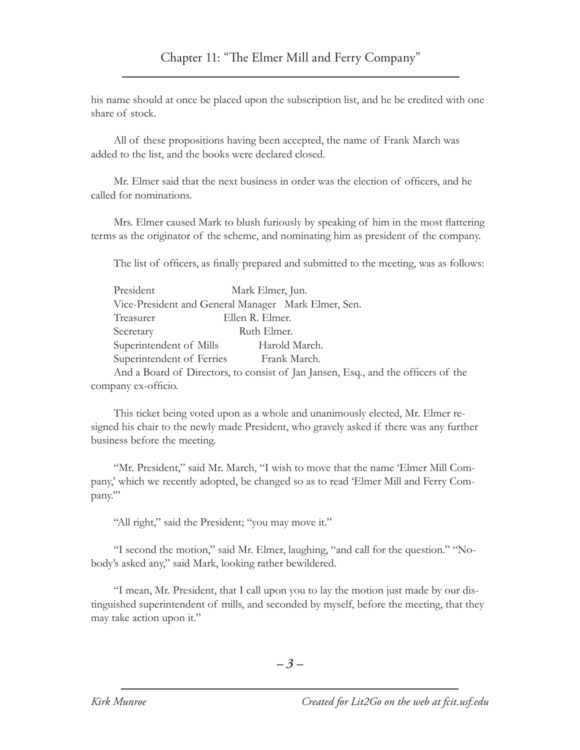his name should at once be placed upon the subscription list, and he be credited with one share of stock.

All of these propositions having been accepted, the name of Frank March was added to the list, and the books were declared closed.

Mr. Elmer said that the next business in order was the election of officers, and he called for nominations.

Mrs. Elmer caused Mark to blush furiously by speaking of him in the most flattering terms as the originator of the scheme, and nominating him as president of the company.

The list of officers, as finally prepared and submitted to the meeting, was as follows:

| President                 | Mark Elmer, Jun.                                                                  |
|---------------------------|-----------------------------------------------------------------------------------|
|                           | Vice-President and General Manager Mark Elmer, Sen.                               |
| Treasurer                 | Ellen R. Elmer.                                                                   |
| Secretary                 | Ruth Elmer.                                                                       |
| Superintendent of Mills   | Harold March.                                                                     |
| Superintendent of Ferries | Frank March.                                                                      |
|                           | And a Board of Directors, to consist of Jan Jansen, Esq., and the officers of the |

company ex-officio.

This ticket being voted upon as a whole and unanimously elected, Mr. Elmer resigned his chair to the newly made President, who gravely asked if there was any further business before the meeting.

"Mr. President," said Mr. March, "I wish to move that the name 'Elmer Mill Company,' which we recently adopted, be changed so as to read 'Elmer Mill and Ferry Company.'"

"All right," said the President; "you may move it."

"I second the motion," said Mr. Elmer, laughing, "and call for the question." "Nobody's asked any," said Mark, looking rather bewildered.

"I mean, Mr. President, that I call upon you to lay the motion just made by our distinguished superintendent of mills, and seconded by myself, before the meeting, that they may take action upon it."

*– –*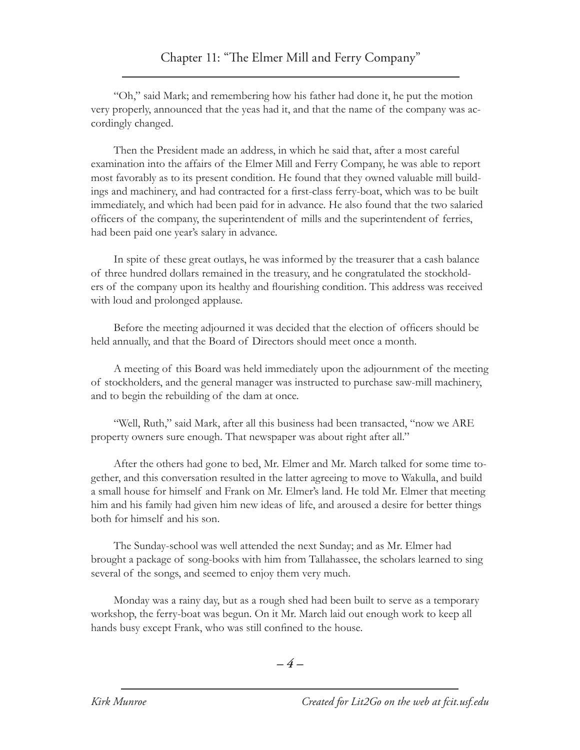"Oh," said Mark; and remembering how his father had done it, he put the motion very properly, announced that the yeas had it, and that the name of the company was accordingly changed.

Then the President made an address, in which he said that, after a most careful examination into the affairs of the Elmer Mill and Ferry Company, he was able to report most favorably as to its present condition. He found that they owned valuable mill buildings and machinery, and had contracted for a first-class ferry-boat, which was to be built immediately, and which had been paid for in advance. He also found that the two salaried officers of the company, the superintendent of mills and the superintendent of ferries, had been paid one year's salary in advance.

In spite of these great outlays, he was informed by the treasurer that a cash balance of three hundred dollars remained in the treasury, and he congratulated the stockholders of the company upon its healthy and flourishing condition. This address was received with loud and prolonged applause.

Before the meeting adjourned it was decided that the election of officers should be held annually, and that the Board of Directors should meet once a month.

A meeting of this Board was held immediately upon the adjournment of the meeting of stockholders, and the general manager was instructed to purchase saw-mill machinery, and to begin the rebuilding of the dam at once.

"Well, Ruth," said Mark, after all this business had been transacted, "now we ARE property owners sure enough. That newspaper was about right after all."

After the others had gone to bed, Mr. Elmer and Mr. March talked for some time together, and this conversation resulted in the latter agreeing to move to Wakulla, and build a small house for himself and Frank on Mr. Elmer's land. He told Mr. Elmer that meeting him and his family had given him new ideas of life, and aroused a desire for better things both for himself and his son.

The Sunday-school was well attended the next Sunday; and as Mr. Elmer had brought a package of song-books with him from Tallahassee, the scholars learned to sing several of the songs, and seemed to enjoy them very much.

Monday was a rainy day, but as a rough shed had been built to serve as a temporary workshop, the ferry-boat was begun. On it Mr. March laid out enough work to keep all hands busy except Frank, who was still confined to the house.

$$
-4-
$$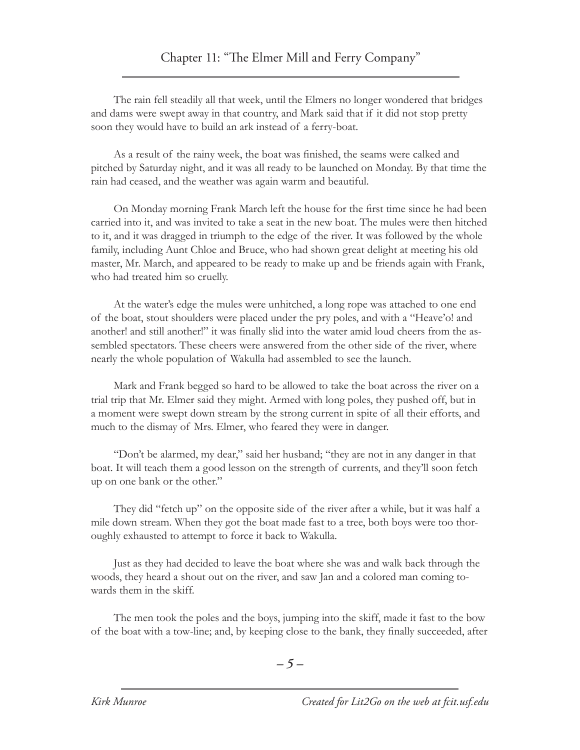The rain fell steadily all that week, until the Elmers no longer wondered that bridges and dams were swept away in that country, and Mark said that if it did not stop pretty soon they would have to build an ark instead of a ferry-boat.

As a result of the rainy week, the boat was finished, the seams were calked and pitched by Saturday night, and it was all ready to be launched on Monday. By that time the rain had ceased, and the weather was again warm and beautiful.

On Monday morning Frank March left the house for the first time since he had been carried into it, and was invited to take a seat in the new boat. The mules were then hitched to it, and it was dragged in triumph to the edge of the river. It was followed by the whole family, including Aunt Chloe and Bruce, who had shown great delight at meeting his old master, Mr. March, and appeared to be ready to make up and be friends again with Frank, who had treated him so cruelly.

At the water's edge the mules were unhitched, a long rope was attached to one end of the boat, stout shoulders were placed under the pry poles, and with a "Heave'o! and another! and still another!" it was finally slid into the water amid loud cheers from the assembled spectators. These cheers were answered from the other side of the river, where nearly the whole population of Wakulla had assembled to see the launch.

Mark and Frank begged so hard to be allowed to take the boat across the river on a trial trip that Mr. Elmer said they might. Armed with long poles, they pushed off, but in a moment were swept down stream by the strong current in spite of all their efforts, and much to the dismay of Mrs. Elmer, who feared they were in danger.

"Don't be alarmed, my dear," said her husband; "they are not in any danger in that boat. It will teach them a good lesson on the strength of currents, and they'll soon fetch up on one bank or the other."

They did "fetch up" on the opposite side of the river after a while, but it was half a mile down stream. When they got the boat made fast to a tree, both boys were too thoroughly exhausted to attempt to force it back to Wakulla.

Just as they had decided to leave the boat where she was and walk back through the woods, they heard a shout out on the river, and saw Jan and a colored man coming towards them in the skiff.

The men took the poles and the boys, jumping into the skiff, made it fast to the bow of the boat with a tow-line; and, by keeping close to the bank, they finally succeeded, after

*– –*